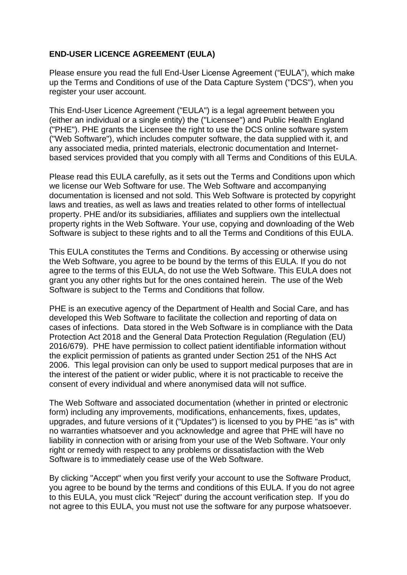### **END-USER LICENCE AGREEMENT (EULA)**

Please ensure you read the full End-User License Agreement ("EULA"), which make up the Terms and Conditions of use of the Data Capture System ("DCS"), when you register your user account.

This End-User Licence Agreement ("EULA") is a legal agreement between you (either an individual or a single entity) the ("Licensee") and Public Health England ("PHE"). PHE grants the Licensee the right to use the DCS online software system ("Web Software"), which includes computer software, the data supplied with it, and any associated media, printed materials, electronic documentation and Internetbased services provided that you comply with all Terms and Conditions of this EULA.

Please read this EULA carefully, as it sets out the Terms and Conditions upon which we license our Web Software for use. The Web Software and accompanying documentation is licensed and not sold. This Web Software is protected by copyright laws and treaties, as well as laws and treaties related to other forms of intellectual property. PHE and/or its subsidiaries, affiliates and suppliers own the intellectual property rights in the Web Software. Your use, copying and downloading of the Web Software is subject to these rights and to all the Terms and Conditions of this EULA.

This EULA constitutes the Terms and Conditions. By accessing or otherwise using the Web Software, you agree to be bound by the terms of this EULA. If you do not agree to the terms of this EULA, do not use the Web Software. This EULA does not grant you any other rights but for the ones contained herein. The use of the Web Software is subject to the Terms and Conditions that follow.

PHE is an executive agency of the Department of Health and Social Care, and has developed this Web Software to facilitate the collection and reporting of data on cases of infections. Data stored in the Web Software is in compliance with the Data Protection Act 2018 and the General Data Protection Regulation (Regulation (EU) 2016/679). PHE have permission to collect patient identifiable information without the explicit permission of patients as granted under Section 251 of the NHS Act 2006. This legal provision can only be used to support medical purposes that are in the interest of the patient or wider public, where it is not practicable to receive the consent of every individual and where anonymised data will not suffice.

The Web Software and associated documentation (whether in printed or electronic form) including any improvements, modifications, enhancements, fixes, updates, upgrades, and future versions of it ("Updates") is licensed to you by PHE "as is" with no warranties whatsoever and you acknowledge and agree that PHE will have no liability in connection with or arising from your use of the Web Software. Your only right or remedy with respect to any problems or dissatisfaction with the Web Software is to immediately cease use of the Web Software.

By clicking "Accept" when you first verify your account to use the Software Product, you agree to be bound by the terms and conditions of this EULA. If you do not agree to this EULA, you must click "Reject" during the account verification step. If you do not agree to this EULA, you must not use the software for any purpose whatsoever.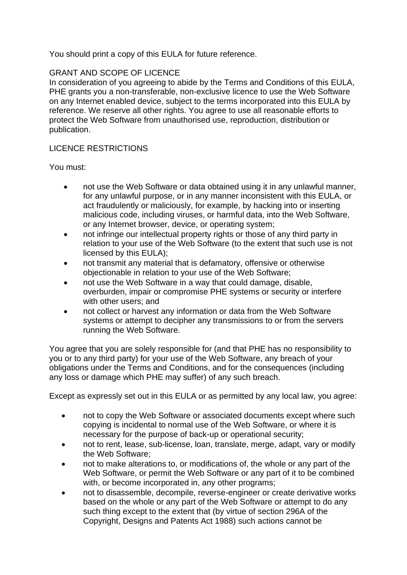You should print a copy of this EULA for future reference.

### GRANT AND SCOPE OF LICENCE

In consideration of you agreeing to abide by the Terms and Conditions of this EULA, PHE grants you a non-transferable, non-exclusive licence to use the Web Software on any Internet enabled device, subject to the terms incorporated into this EULA by reference. We reserve all other rights. You agree to use all reasonable efforts to protect the Web Software from unauthorised use, reproduction, distribution or publication.

### LICENCE RESTRICTIONS

You must:

- not use the Web Software or data obtained using it in any unlawful manner, for any unlawful purpose, or in any manner inconsistent with this EULA, or act fraudulently or maliciously, for example, by hacking into or inserting malicious code, including viruses, or harmful data, into the Web Software, or any Internet browser, device, or operating system;
- not infringe our intellectual property rights or those of any third party in relation to your use of the Web Software (to the extent that such use is not licensed by this EULA);
- not transmit any material that is defamatory, offensive or otherwise objectionable in relation to your use of the Web Software;
- not use the Web Software in a way that could damage, disable, overburden, impair or compromise PHE systems or security or interfere with other users; and
- not collect or harvest any information or data from the Web Software systems or attempt to decipher any transmissions to or from the servers running the Web Software.

You agree that you are solely responsible for (and that PHE has no responsibility to you or to any third party) for your use of the Web Software, any breach of your obligations under the Terms and Conditions, and for the consequences (including any loss or damage which PHE may suffer) of any such breach.

Except as expressly set out in this EULA or as permitted by any local law, you agree:

- not to copy the Web Software or associated documents except where such copying is incidental to normal use of the Web Software, or where it is necessary for the purpose of back-up or operational security;
- not to rent, lease, sub-license, loan, translate, merge, adapt, vary or modify the Web Software;
- not to make alterations to, or modifications of, the whole or any part of the Web Software, or permit the Web Software or any part of it to be combined with, or become incorporated in, any other programs;
- not to disassemble, decompile, reverse-engineer or create derivative works based on the whole or any part of the Web Software or attempt to do any such thing except to the extent that (by virtue of section 296A of the Copyright, Designs and Patents Act 1988) such actions cannot be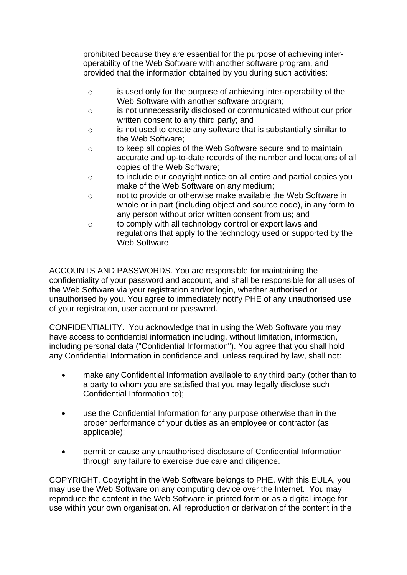prohibited because they are essential for the purpose of achieving interoperability of the Web Software with another software program, and provided that the information obtained by you during such activities:

- o is used only for the purpose of achieving inter-operability of the Web Software with another software program;
- o is not unnecessarily disclosed or communicated without our prior written consent to any third party; and
- o is not used to create any software that is substantially similar to the Web Software;
- o to keep all copies of the Web Software secure and to maintain accurate and up-to-date records of the number and locations of all copies of the Web Software;
- o to include our copyright notice on all entire and partial copies you make of the Web Software on any medium;
- o not to provide or otherwise make available the Web Software in whole or in part (including object and source code), in any form to any person without prior written consent from us; and
- o to comply with all technology control or export laws and regulations that apply to the technology used or supported by the Web Software

ACCOUNTS AND PASSWORDS. You are responsible for maintaining the confidentiality of your password and account, and shall be responsible for all uses of the Web Software via your registration and/or login, whether authorised or unauthorised by you. You agree to immediately notify PHE of any unauthorised use of your registration, user account or password.

CONFIDENTIALITY. You acknowledge that in using the Web Software you may have access to confidential information including, without limitation, information, including personal data ("Confidential Information"). You agree that you shall hold any Confidential Information in confidence and, unless required by law, shall not:

- make any Confidential Information available to any third party (other than to a party to whom you are satisfied that you may legally disclose such Confidential Information to);
- use the Confidential Information for any purpose otherwise than in the proper performance of your duties as an employee or contractor (as applicable);
- permit or cause any unauthorised disclosure of Confidential Information through any failure to exercise due care and diligence.

COPYRIGHT. Copyright in the Web Software belongs to PHE. With this EULA, you may use the Web Software on any computing device over the Internet. You may reproduce the content in the Web Software in printed form or as a digital image for use within your own organisation. All reproduction or derivation of the content in the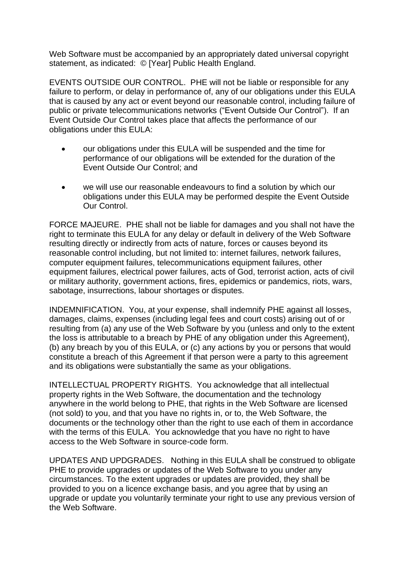Web Software must be accompanied by an appropriately dated universal copyright statement, as indicated: © [Year] Public Health England.

EVENTS OUTSIDE OUR CONTROL. PHE will not be liable or responsible for any failure to perform, or delay in performance of, any of our obligations under this EULA that is caused by any act or event beyond our reasonable control, including failure of public or private telecommunications networks ("Event Outside Our Control"). If an Event Outside Our Control takes place that affects the performance of our obligations under this EULA:

- our obligations under this EULA will be suspended and the time for performance of our obligations will be extended for the duration of the Event Outside Our Control; and
- we will use our reasonable endeavours to find a solution by which our obligations under this EULA may be performed despite the Event Outside Our Control.

FORCE MAJEURE. PHE shall not be liable for damages and you shall not have the right to terminate this EULA for any delay or default in delivery of the Web Software resulting directly or indirectly from acts of nature, forces or causes beyond its reasonable control including, but not limited to: internet failures, network failures, computer equipment failures, telecommunications equipment failures, other equipment failures, electrical power failures, acts of God, terrorist action, acts of civil or military authority, government actions, fires, epidemics or pandemics, riots, wars, sabotage, insurrections, labour shortages or disputes.

INDEMNIFICATION. You, at your expense, shall indemnify PHE against all losses, damages, claims, expenses (including legal fees and court costs) arising out of or resulting from (a) any use of the Web Software by you (unless and only to the extent the loss is attributable to a breach by PHE of any obligation under this Agreement), (b) any breach by you of this EULA, or (c) any actions by you or persons that would constitute a breach of this Agreement if that person were a party to this agreement and its obligations were substantially the same as your obligations.

INTELLECTUAL PROPERTY RIGHTS. You acknowledge that all intellectual property rights in the Web Software, the documentation and the technology anywhere in the world belong to PHE, that rights in the Web Software are licensed (not sold) to you, and that you have no rights in, or to, the Web Software, the documents or the technology other than the right to use each of them in accordance with the terms of this EULA. You acknowledge that you have no right to have access to the Web Software in source-code form.

UPDATES AND UPDGRADES. Nothing in this EULA shall be construed to obligate PHE to provide upgrades or updates of the Web Software to you under any circumstances. To the extent upgrades or updates are provided, they shall be provided to you on a licence exchange basis, and you agree that by using an upgrade or update you voluntarily terminate your right to use any previous version of the Web Software.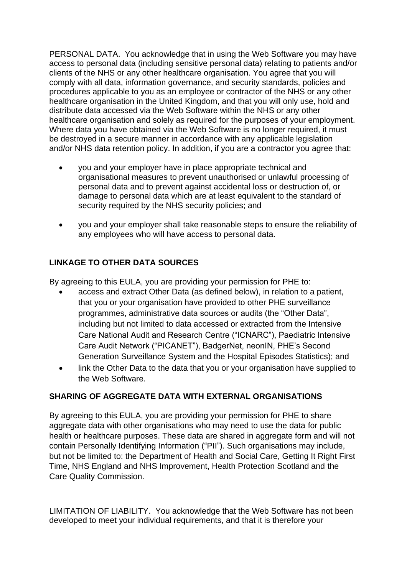PERSONAL DATA. You acknowledge that in using the Web Software you may have access to personal data (including sensitive personal data) relating to patients and/or clients of the NHS or any other healthcare organisation. You agree that you will comply with all data, information governance, and security standards, policies and procedures applicable to you as an employee or contractor of the NHS or any other healthcare organisation in the United Kingdom, and that you will only use, hold and distribute data accessed via the Web Software within the NHS or any other healthcare organisation and solely as required for the purposes of your employment. Where data you have obtained via the Web Software is no longer required, it must be destroyed in a secure manner in accordance with any applicable legislation and/or NHS data retention policy. In addition, if you are a contractor you agree that:

- you and your employer have in place appropriate technical and organisational measures to prevent unauthorised or unlawful processing of personal data and to prevent against accidental loss or destruction of, or damage to personal data which are at least equivalent to the standard of security required by the NHS security policies; and
- you and your employer shall take reasonable steps to ensure the reliability of any employees who will have access to personal data.

# **LINKAGE TO OTHER DATA SOURCES**

By agreeing to this EULA, you are providing your permission for PHE to:

- access and extract Other Data (as defined below), in relation to a patient, that you or your organisation have provided to other PHE surveillance programmes, administrative data sources or audits (the "Other Data", including but not limited to data accessed or extracted from the Intensive Care National Audit and Research Centre ("ICNARC"), Paediatric Intensive Care Audit Network ("PICANET"), BadgerNet, neonIN, PHE's Second Generation Surveillance System and the Hospital Episodes Statistics); and
- link the Other Data to the data that you or your organisation have supplied to the Web Software.

# **SHARING OF AGGREGATE DATA WITH EXTERNAL ORGANISATIONS**

By agreeing to this EULA, you are providing your permission for PHE to share aggregate data with other organisations who may need to use the data for public health or healthcare purposes. These data are shared in aggregate form and will not contain Personally Identifying Information ("PII"). Such organisations may include, but not be limited to: the Department of Health and Social Care, Getting It Right First Time, NHS England and NHS Improvement, Health Protection Scotland and the Care Quality Commission.

LIMITATION OF LIABILITY. You acknowledge that the Web Software has not been developed to meet your individual requirements, and that it is therefore your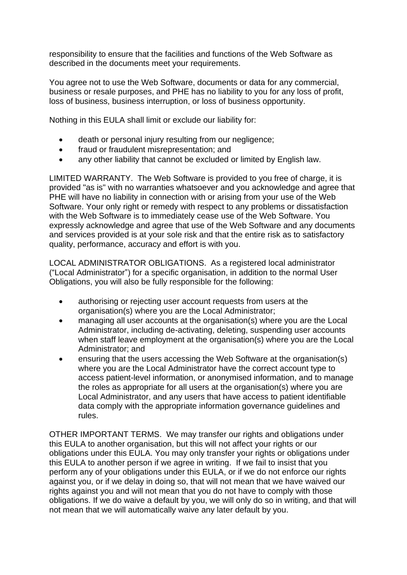responsibility to ensure that the facilities and functions of the Web Software as described in the documents meet your requirements.

You agree not to use the Web Software, documents or data for any commercial, business or resale purposes, and PHE has no liability to you for any loss of profit, loss of business, business interruption, or loss of business opportunity.

Nothing in this EULA shall limit or exclude our liability for:

- death or personal injury resulting from our negligence;
- fraud or fraudulent misrepresentation; and
- any other liability that cannot be excluded or limited by English law.

LIMITED WARRANTY. The Web Software is provided to you free of charge, it is provided "as is" with no warranties whatsoever and you acknowledge and agree that PHE will have no liability in connection with or arising from your use of the Web Software. Your only right or remedy with respect to any problems or dissatisfaction with the Web Software is to immediately cease use of the Web Software. You expressly acknowledge and agree that use of the Web Software and any documents and services provided is at your sole risk and that the entire risk as to satisfactory quality, performance, accuracy and effort is with you.

LOCAL ADMINISTRATOR OBLIGATIONS. As a registered local administrator ("Local Administrator") for a specific organisation, in addition to the normal User Obligations, you will also be fully responsible for the following:

- authorising or rejecting user account requests from users at the organisation(s) where you are the Local Administrator;
- managing all user accounts at the organisation(s) where you are the Local Administrator, including de-activating, deleting, suspending user accounts when staff leave employment at the organisation(s) where you are the Local Administrator; and
- ensuring that the users accessing the Web Software at the organisation(s) where you are the Local Administrator have the correct account type to access patient-level information, or anonymised information, and to manage the roles as appropriate for all users at the organisation(s) where you are Local Administrator, and any users that have access to patient identifiable data comply with the appropriate information governance guidelines and rules.

OTHER IMPORTANT TERMS. We may transfer our rights and obligations under this EULA to another organisation, but this will not affect your rights or our obligations under this EULA. You may only transfer your rights or obligations under this EULA to another person if we agree in writing. If we fail to insist that you perform any of your obligations under this EULA, or if we do not enforce our rights against you, or if we delay in doing so, that will not mean that we have waived our rights against you and will not mean that you do not have to comply with those obligations. If we do waive a default by you, we will only do so in writing, and that will not mean that we will automatically waive any later default by you.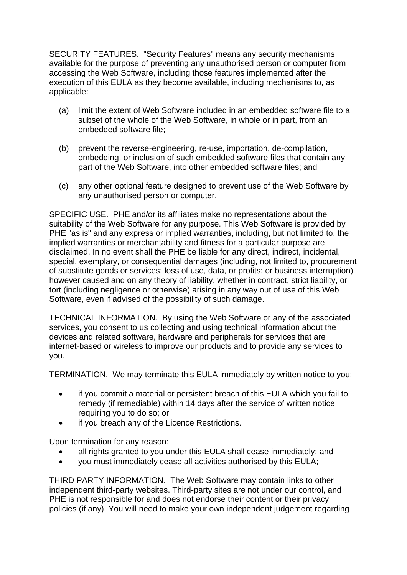SECURITY FEATURES. "Security Features" means any security mechanisms available for the purpose of preventing any unauthorised person or computer from accessing the Web Software, including those features implemented after the execution of this EULA as they become available, including mechanisms to, as applicable:

- (a) limit the extent of Web Software included in an embedded software file to a subset of the whole of the Web Software, in whole or in part, from an embedded software file;
- (b) prevent the reverse-engineering, re-use, importation, de-compilation, embedding, or inclusion of such embedded software files that contain any part of the Web Software, into other embedded software files; and
- (c) any other optional feature designed to prevent use of the Web Software by any unauthorised person or computer.

SPECIFIC USE. PHE and/or its affiliates make no representations about the suitability of the Web Software for any purpose. This Web Software is provided by PHE "as is" and any express or implied warranties, including, but not limited to, the implied warranties or merchantability and fitness for a particular purpose are disclaimed. In no event shall the PHE be liable for any direct, indirect, incidental, special, exemplary, or consequential damages (including, not limited to, procurement of substitute goods or services; loss of use, data, or profits; or business interruption) however caused and on any theory of liability, whether in contract, strict liability, or tort (including negligence or otherwise) arising in any way out of use of this Web Software, even if advised of the possibility of such damage.

TECHNICAL INFORMATION. By using the Web Software or any of the associated services, you consent to us collecting and using technical information about the devices and related software, hardware and peripherals for services that are internet-based or wireless to improve our products and to provide any services to you.

TERMINATION. We may terminate this EULA immediately by written notice to you:

- if you commit a material or persistent breach of this EULA which you fail to remedy (if remediable) within 14 days after the service of written notice requiring you to do so; or
- if you breach any of the Licence Restrictions.

Upon termination for any reason:

- all rights granted to you under this EULA shall cease immediately; and
- you must immediately cease all activities authorised by this EULA;

THIRD PARTY INFORMATION. The Web Software may contain links to other independent third-party websites. Third-party sites are not under our control, and PHE is not responsible for and does not endorse their content or their privacy policies (if any). You will need to make your own independent judgement regarding